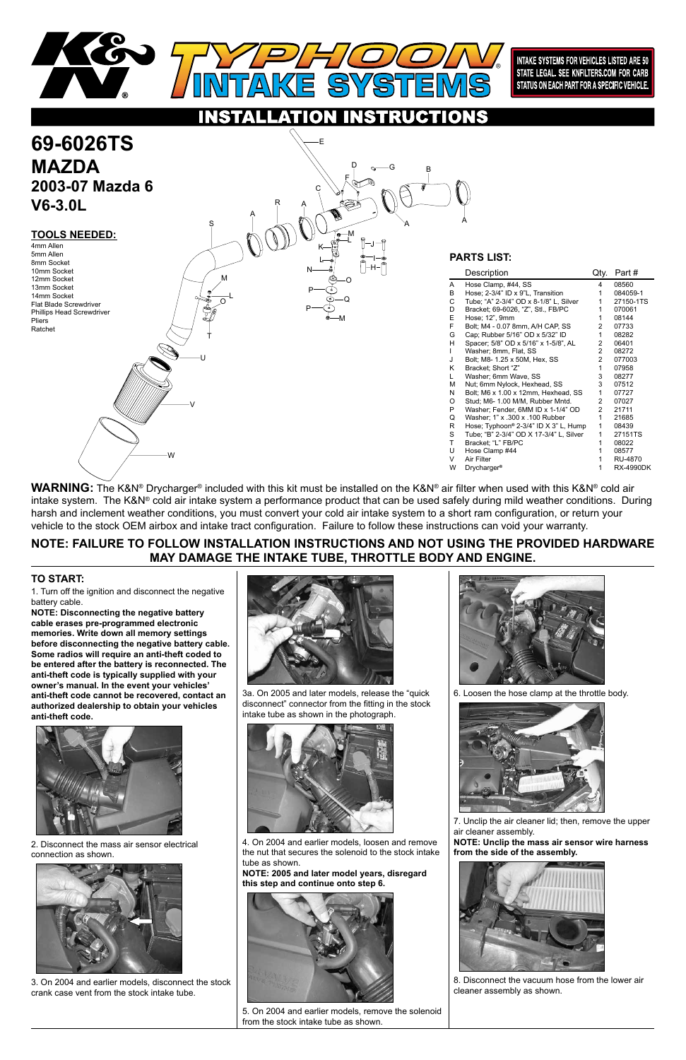## **NOTE: FAILURE TO FOLLOW INSTALLATION INSTRUCTIONS AND NOT USING THE PROVIDED HARDWARE MAY DAMAGE THE INTAKE TUBE, THROTTLE BODY AND ENGINE.**

1. Turn off the ignition and disconnect the negative battery cable.

**NOTE: Disconnecting the negative battery cable erases pre-programmed electronic memories. Write down all memory settings before disconnecting the negative battery cable. Some radios will require an anti-theft coded to be entered after the battery is reconnected. The anti-theft code is typically supplied with your owner's manual. In the event your vehicles' anti-theft code cannot be recovered, contact an authorized dealership to obtain your vehicles anti-theft code.**



### **TO START:**

**WARNING:** The K&N® Drycharger® included with this kit must be installed on the K&N® air filter when used with this K&N® cold air intake system. The K&N® cold air intake system a performance product that can be used safely during mild weather conditions. During harsh and inclement weather conditions, you must convert your cold air intake system to a short ram configuration, or return your vehicle to the stock OEM airbox and intake tract configuration. Failure to follow these instructions can void your warranty.





INTAKE SYSTEMS FOR VEHICLES LISTED ARE 50 STATE LEGAL. SEE KNFILTERS.COM FOR CARB STATUS ON EACH PART FOR A SPECIFIC VEHICLE.

2. Disconnect the mass air sensor electrical connection as shown.



3. On 2004 and earlier models, disconnect the stock crank case vent from the stock intake tube.



3a. On 2005 and later models, release the "quick disconnect" connector from the fitting in the stock intake tube as shown in the photograph.





4. On 2004 and earlier models, loosen and remove the nut that secures the solenoid to the stock intake tube as shown.

**NOTE: 2005 and later model years, disregard this step and continue onto step 6.**



5. On 2004 and earlier models, remove the solenoid from the stock intake tube as shown.

6. Loosen the hose clamp at the throttle body.



7. Unclip the air cleaner lid; then, remove the upper air cleaner assembly.

**NOTE: Unclip the mass air sensor wire harness from the side of the assembly.**



8. Disconnect the vacuum hose from the lower air cleaner assembly as shown.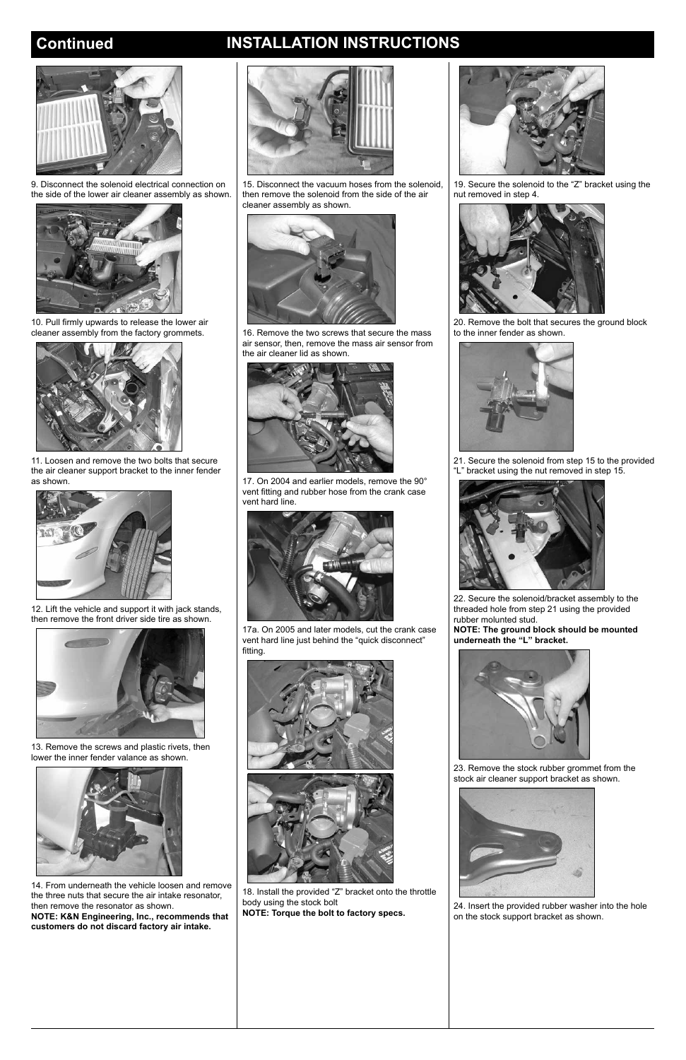## **Continued INSTALLATION INSTRUCTIONS**



9. Disconnect the solenoid electrical connection on the side of the lower air cleaner assembly as shown.



10. Pull firmly upwards to release the lower air cleaner assembly from the factory grommets.



11. Loosen and remove the two bolts that secure the air cleaner support bracket to the inner fender as shown.



12. Lift the vehicle and support it with jack stands, then remove the front driver side tire as shown.



13. Remove the screws and plastic rivets, then lower the inner fender valance as shown.



14. From underneath the vehicle loosen and remove the three nuts that secure the air intake resonator, then remove the resonator as shown.

**NOTE: K&N Engineering, Inc., recommends that customers do not discard factory air intake.**



15. Disconnect the vacuum hoses from the solenoid, then remove the solenoid from the side of the air cleaner assembly as shown.



23. Remove the stock rubber grommet from the tock air cleaner support bracket as shown.





16. Remove the two screws that secure the mass air sensor, then, remove the mass air sensor from the air cleaner lid as shown.



17. On 2004 and earlier models, remove the 90° vent fitting and rubber hose from the crank case vent hard line.



17a. On 2005 and later models, cut the crank case vent hard line just behind the "quick disconnect" fitting.



18. Install the provided "Z" bracket onto the throttle body using the stock bolt **NOTE: Torque the bolt to factory specs.**





19. Secure the solenoid to the "Z" bracket using the nut removed in step 4.



20. Remove the bolt that secures the ground block to the inner fender as shown.



21. Secure the solenoid from step 15 to the provided "L" bracket using the nut removed in step 15.



22. Secure the solenoid/bracket assembly to the threaded hole from step 21 using the provided rubber molunted stud.

**NOTE: The ground block should be mounted underneath the "L" bracket.**

24. Insert the provided rubber washer into the hole on the stock support bracket as shown.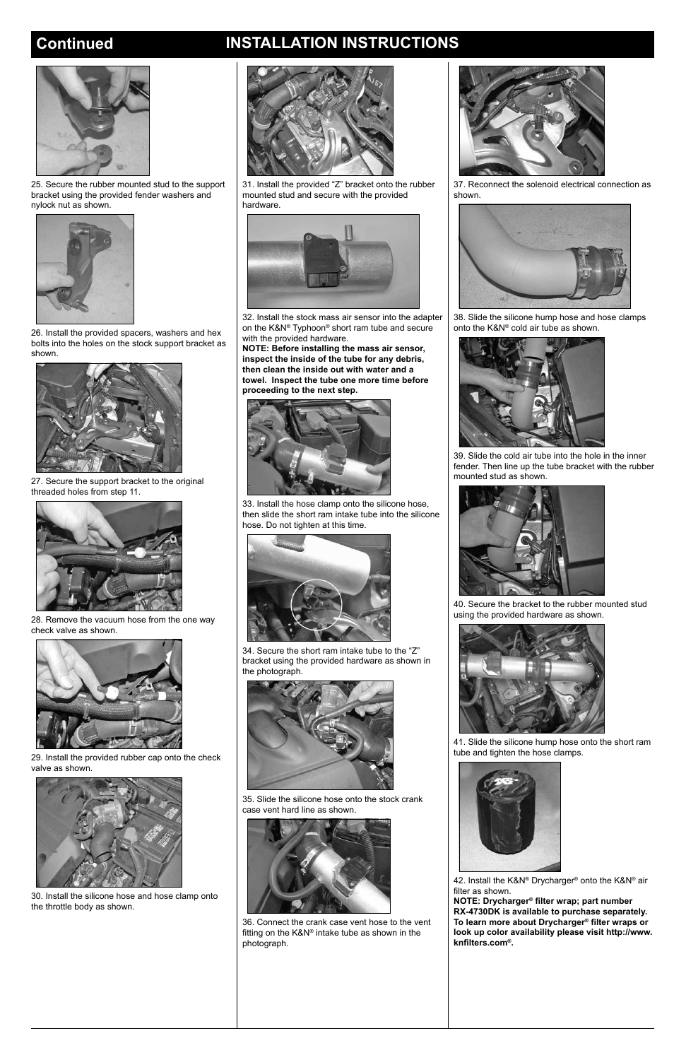# **Continued INSTALLATION INSTRUCTIONS**



25. Secure the rubber mounted stud to the support bracket using the provided fender washers and nylock nut as shown.



26. Install the provided spacers, washers and hex bolts into the holes on the stock support bracket as shown.



27. Secure the support bracket to the original threaded holes from step 11.



28. Remove the vacuum hose from the one way check valve as shown.



29. Install the provided rubber cap onto the check valve as shown.

30. Install the silicone hose and hose clamp onto the throttle body as shown.





31. Install the provided "Z" bracket onto the rubber mounted stud and secure with the provided hardware.



32. Install the stock mass air sensor into the adapter on the K&N® Typhoon® short ram tube and secure with the provided hardware.

**NOTE: Before installing the mass air sensor, inspect the inside of the tube for any debris, then clean the inside out with water and a towel. Inspect the tube one more time before proceeding to the next step.**



33. Install the hose clamp onto the silicone hose, then slide the short ram intake tube into the silicone hose. Do not tighten at this time.



34. Secure the short ram intake tube to the "Z" bracket using the provided hardware as shown in the photograph.



35. Slide the silicone hose onto the stock crank case vent hard line as shown.



36. Connect the crank case vent hose to the vent fitting on the K&N® intake tube as shown in the photograph.



37. Reconnect the solenoid electrical connection as shown.



38. Slide the silicone hump hose and hose clamps onto the K&N® cold air tube as shown.



39. Slide the cold air tube into the hole in the inner fender. Then line up the tube bracket with the rubber mounted stud as shown.



40. Secure the bracket to the rubber mounted stud using the provided hardware as shown.



41. Slide the silicone hump hose onto the short ram tube and tighten the hose clamps.





42. Install the K&N® Drycharger® onto the K&N® air filter as shown.

**NOTE: Drycharger® filter wrap; part number RX-4730DK is available to purchase separately. To learn more about Drycharger® filter wraps or look up color availability please visit http://www. knfilters.com®.**